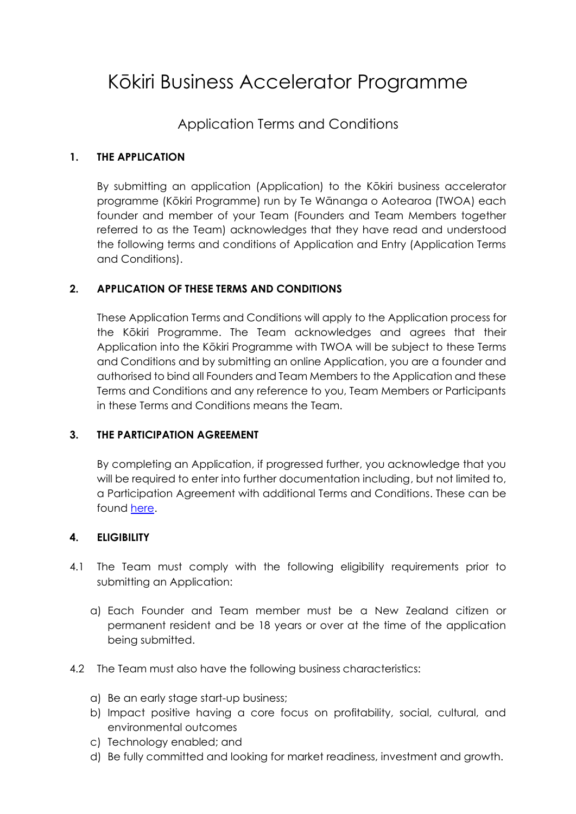# Kōkiri Business Accelerator Programme

# Application Terms and Conditions

#### **1. THE APPLICATION**

By submitting an application (Application) to the Kōkiri business accelerator programme (Kōkiri Programme) run by Te Wānanga o Aotearoa (TWOA) each founder and member of your Team (Founders and Team Members together referred to as the Team) acknowledges that they have read and understood the following terms and conditions of Application and Entry (Application Terms and Conditions).

#### **2. APPLICATION OF THESE TERMS AND CONDITIONS**

These Application Terms and Conditions will apply to the Application process for the Kōkiri Programme. The Team acknowledges and agrees that their Application into the Kōkiri Programme with TWOA will be subject to these Terms and Conditions and by submitting an online Application, you are a founder and authorised to bind all Founders and Team Members to the Application and these Terms and Conditions and any reference to you, Team Members or Participants in these Terms and Conditions means the Team.

#### **3. THE PARTICIPATION AGREEMENT**

By completing an Application, if progressed further, you acknowledge that you will be required to enter into further documentation including, but not limited to, a Participation Agreement with additional Terms and Conditions. These can be found [here.](https://kokiri.nz/apply-for-kokiri/)

#### **4. ELIGIBILITY**

- 4.1 The Team must comply with the following eligibility requirements prior to submitting an Application:
	- a) Each Founder and Team member must be a New Zealand citizen or permanent resident and be 18 years or over at the time of the application being submitted.
- 4.2 The Team must also have the following business characteristics:
	- a) Be an early stage start-up business;
	- b) Impact positive having a core focus on profitability, social, cultural, and environmental outcomes
	- c) Technology enabled; and
	- d) Be fully committed and looking for market readiness, investment and growth.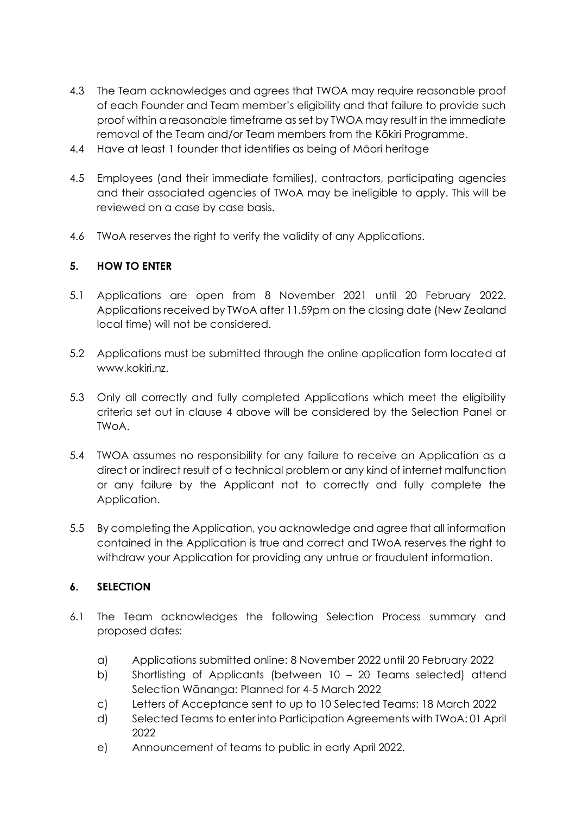- 4.3 The Team acknowledges and agrees that TWOA may require reasonable proof of each Founder and Team member's eligibility and that failure to provide such proof within a reasonable timeframe as set by TWOA may result in the immediate removal of the Team and/or Team members from the Kōkiri Programme.
- 4.4 Have at least 1 founder that identifies as being of Māori heritage
- 4.5 Employees (and their immediate families), contractors, participating agencies and their associated agencies of TWoA may be ineligible to apply. This will be reviewed on a case by case basis.
- 4.6 TWoA reserves the right to verify the validity of any Applications.

### **5. HOW TO ENTER**

- 5.1 Applications are open from 8 November 2021 until 20 February 2022. Applications received by TWoA after 11.59pm on the closing date (New Zealand local time) will not be considered.
- 5.2 Applications must be submitted through the online application form located at www.kokiri.nz.
- 5.3 Only all correctly and fully completed Applications which meet the eligibility criteria set out in clause 4 above will be considered by the Selection Panel or TWoA.
- 5.4 TWOA assumes no responsibility for any failure to receive an Application as a direct or indirect result of a technical problem or any kind of internet malfunction or any failure by the Applicant not to correctly and fully complete the Application.
- 5.5 By completing the Application, you acknowledge and agree that all information contained in the Application is true and correct and TWoA reserves the right to withdraw your Application for providing any untrue or fraudulent information.

### **6. SELECTION**

- 6.1 The Team acknowledges the following Selection Process summary and proposed dates:
	- a) Applications submitted online: 8 November 2022 until 20 February 2022
	- b) Shortlisting of Applicants (between 10 20 Teams selected) attend Selection Wānanga: Planned for 4-5 March 2022
	- c) Letters of Acceptance sent to up to 10 Selected Teams: 18 March 2022
	- d) Selected Teams to enter into Participation Agreements with TWoA: 01 April 2022
	- e) Announcement of teams to public in early April 2022.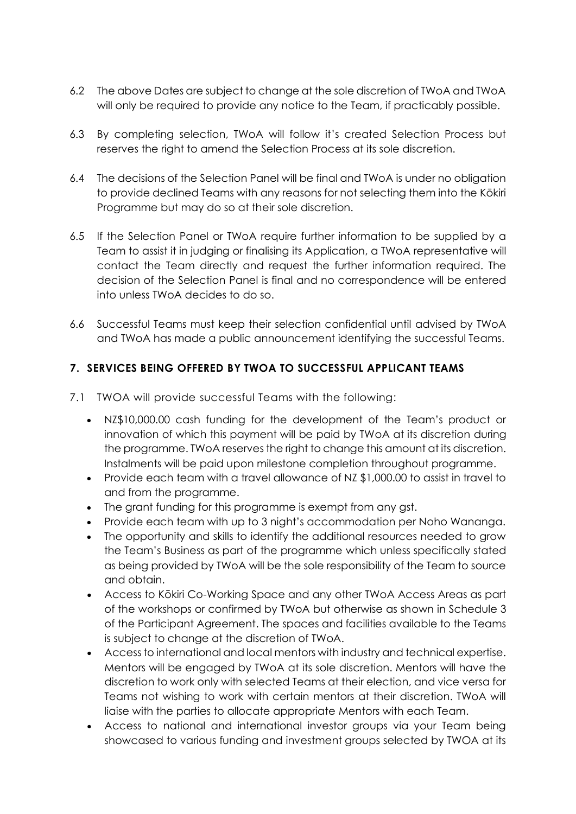- 6.2 The above Dates are subject to change at the sole discretion of TWoA and TWoA will only be required to provide any notice to the Team, if practicably possible.
- 6.3 By completing selection, TWoA will follow it's created Selection Process but reserves the right to amend the Selection Process at its sole discretion.
- 6.4 The decisions of the Selection Panel will be final and TWoA is under no obligation to provide declined Teams with any reasons for not selecting them into the Kōkiri Programme but may do so at their sole discretion.
- 6.5 If the Selection Panel or TWoA require further information to be supplied by a Team to assist it in judging or finalising its Application, a TWoA representative will contact the Team directly and request the further information required. The decision of the Selection Panel is final and no correspondence will be entered into unless TWoA decides to do so.
- 6.6 Successful Teams must keep their selection confidential until advised by TWoA and TWoA has made a public announcement identifying the successful Teams.

## **7. SERVICES BEING OFFERED BY TWOA TO SUCCESSFUL APPLICANT TEAMS**

- 7.1 TWOA will provide successful Teams with the following:
	- NZ\$10,000.00 cash funding for the development of the Team's product or innovation of which this payment will be paid by TWoA at its discretion during the programme. TWoA reserves the right to change this amount at its discretion. Instalments will be paid upon milestone completion throughout programme.
	- Provide each team with a travel allowance of NZ \$1,000.00 to assist in travel to and from the programme.
	- The grant funding for this programme is exempt from any gst.
	- Provide each team with up to 3 night's accommodation per Noho Wananga.
	- The opportunity and skills to identify the additional resources needed to grow the Team's Business as part of the programme which unless specifically stated as being provided by TWoA will be the sole responsibility of the Team to source and obtain.
	- Access to Kōkiri Co-Working Space and any other TWoA Access Areas as part of the workshops or confirmed by TWoA but otherwise as shown in Schedule 3 of the Participant Agreement. The spaces and facilities available to the Teams is subject to change at the discretion of TWoA.
	- Access to international and local mentors with industry and technical expertise. Mentors will be engaged by TWoA at its sole discretion. Mentors will have the discretion to work only with selected Teams at their election, and vice versa for Teams not wishing to work with certain mentors at their discretion. TWoA will liaise with the parties to allocate appropriate Mentors with each Team.
	- Access to national and international investor groups via your Team being showcased to various funding and investment groups selected by TWOA at its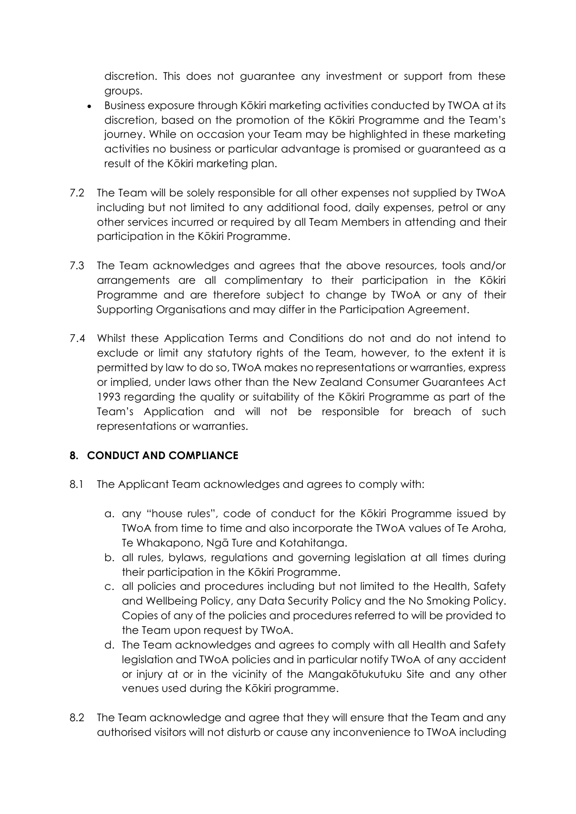discretion. This does not guarantee any investment or support from these groups.

- Business exposure through Kōkiri marketing activities conducted by TWOA at its discretion, based on the promotion of the Kōkiri Programme and the Team's journey. While on occasion your Team may be highlighted in these marketing activities no business or particular advantage is promised or guaranteed as a result of the Kōkiri marketing plan.
- 7.2 The Team will be solely responsible for all other expenses not supplied by TWoA including but not limited to any additional food, daily expenses, petrol or any other services incurred or required by all Team Members in attending and their participation in the Kōkiri Programme.
- 7.3 The Team acknowledges and agrees that the above resources, tools and/or arrangements are all complimentary to their participation in the Kōkiri Programme and are therefore subject to change by TWoA or any of their Supporting Organisations and may differ in the Participation Agreement.
- 7.4 Whilst these Application Terms and Conditions do not and do not intend to exclude or limit any statutory rights of the Team, however, to the extent it is permitted by law to do so, TWoA makes no representations or warranties, express or implied, under laws other than the New Zealand Consumer Guarantees Act 1993 regarding the quality or suitability of the Kōkiri Programme as part of the Team's Application and will not be responsible for breach of such representations or warranties.

# **8. CONDUCT AND COMPLIANCE**

- 8.1 The Applicant Team acknowledges and agrees to comply with:
	- a. any "house rules", code of conduct for the Kōkiri Programme issued by TWoA from time to time and also incorporate the TWoA values of Te Aroha, Te Whakapono, Ngā Ture and Kotahitanga.
	- b. all rules, bylaws, regulations and governing legislation at all times during their participation in the Kōkiri Programme.
	- c. all policies and procedures including but not limited to the Health, Safety and Wellbeing Policy, any Data Security Policy and the No Smoking Policy. Copies of any of the policies and procedures referred to will be provided to the Team upon request by TWoA.
	- d. The Team acknowledges and agrees to comply with all Health and Safety legislation and TWoA policies and in particular notify TWoA of any accident or injury at or in the vicinity of the Mangakōtukutuku Site and any other venues used during the Kōkiri programme.
- 8.2 The Team acknowledge and agree that they will ensure that the Team and any authorised visitors will not disturb or cause any inconvenience to TWoA including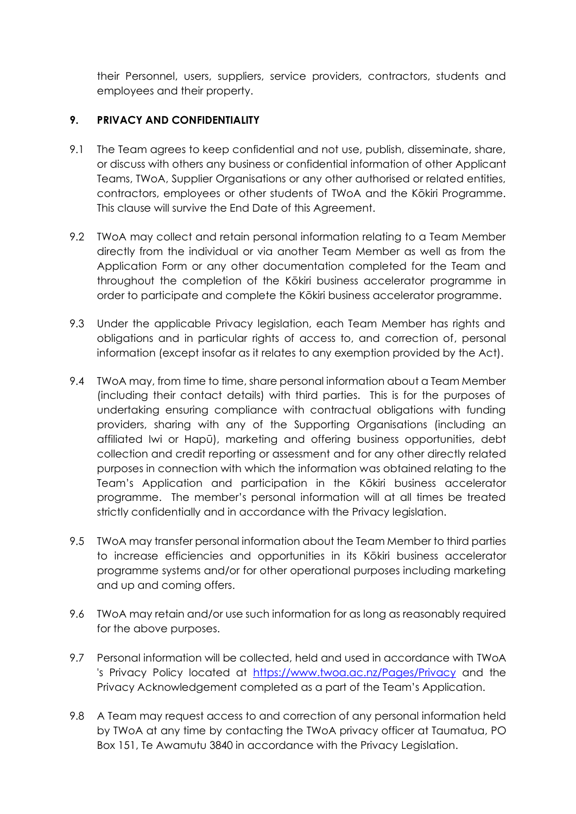their Personnel, users, suppliers, service providers, contractors, students and employees and their property.

#### **9. PRIVACY AND CONFIDENTIALITY**

- 9.1 The Team agrees to keep confidential and not use, publish, disseminate, share, or discuss with others any business or confidential information of other Applicant Teams, TWoA, Supplier Organisations or any other authorised or related entities, contractors, employees or other students of TWoA and the Kōkiri Programme. This clause will survive the End Date of this Agreement.
- 9.2 TWoA may collect and retain personal information relating to a Team Member directly from the individual or via another Team Member as well as from the Application Form or any other documentation completed for the Team and throughout the completion of the Kōkiri business accelerator programme in order to participate and complete the Kōkiri business accelerator programme.
- 9.3 Under the applicable Privacy legislation, each Team Member has rights and obligations and in particular rights of access to, and correction of, personal information (except insofar as it relates to any exemption provided by the Act).
- 9.4 TWoA may, from time to time, share personal information about a Team Member (including their contact details) with third parties. This is for the purposes of undertaking ensuring compliance with contractual obligations with funding providers, sharing with any of the Supporting Organisations (including an affiliated Iwi or Hapū), marketing and offering business opportunities, debt collection and credit reporting or assessment and for any other directly related purposes in connection with which the information was obtained relating to the Team's Application and participation in the Kōkiri business accelerator programme. The member's personal information will at all times be treated strictly confidentially and in accordance with the Privacy legislation.
- 9.5 TWoA may transfer personal information about the Team Member to third parties to increase efficiencies and opportunities in its Kōkiri business accelerator programme systems and/or for other operational purposes including marketing and up and coming offers.
- 9.6 TWoA may retain and/or use such information for as long as reasonably required for the above purposes.
- 9.7 Personal information will be collected, held and used in accordance with TWoA 's Privacy Policy located at <https://www.twoa.ac.nz/Pages/Privacy> and the Privacy Acknowledgement completed as a part of the Team's Application.
- 9.8 A Team may request access to and correction of any personal information held by TWoA at any time by contacting the TWoA privacy officer at Taumatua, PO Box 151, Te Awamutu 3840 in accordance with the Privacy Legislation.